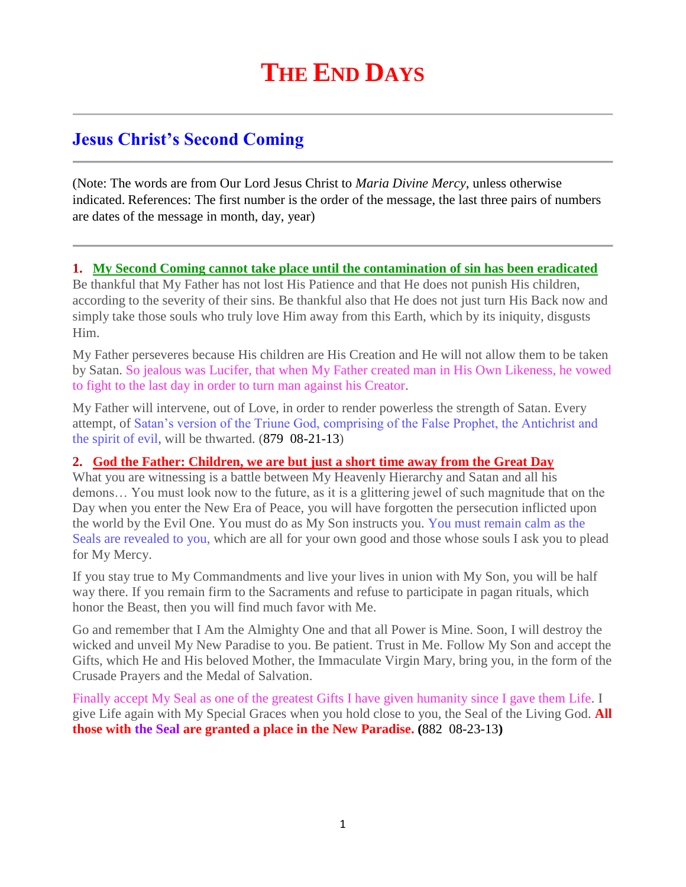# **Jesus Christ's Second Coming**

(Note: The words are from Our Lord Jesus Christ to *Maria Divine Mercy*, unless otherwise indicated. References: The first number is the order of the message, the last three pairs of numbers are dates of the message in month, day, year)

#### **1. [My Second Coming cannot take place until the contamination of sin has been eradicated](http://www.thewarningsecondcoming.com/my-second-coming-cannot-take-place-until-the-contamination-of-sin-has-been-eradicated/)**

Be thankful that My Father has not lost His Patience and that He does not punish His children, according to the severity of their sins. Be thankful also that He does not just turn His Back now and simply take those souls who truly love Him away from this Earth, which by its iniquity, disgusts Him.

My Father perseveres because His children are His Creation and He will not allow them to be taken by Satan. So jealous was Lucifer, that when My Father created man in His Own Likeness, he vowed to fight to the last day in order to turn man against his Creator.

My Father will intervene, out of Love, in order to render powerless the strength of Satan. Every attempt, of Satan's version of the Triune God, comprising of the False Prophet, the Antichrist and the spirit of evil, will be thwarted. (879 08-21-13)

#### **2. [God the Father: Children, we are but just a short time away from the Great Day](http://www.thewarningsecondcoming.com/god-the-father-children-we-are-but-just-a-short-time-away-from-the-great-day/)**

What you are witnessing is a battle between My Heavenly Hierarchy and Satan and all his demons… You must look now to the future, as it is a glittering jewel of such magnitude that on the Day when you enter the New Era of Peace, you will have forgotten the persecution inflicted upon the world by the Evil One. You must do as My Son instructs you. You must remain calm as the Seals are revealed to you, which are all for your own good and those whose souls I ask you to plead for My Mercy.

If you stay true to My Commandments and live your lives in union with My Son, you will be half way there. If you remain firm to the Sacraments and refuse to participate in pagan rituals, which honor the Beast, then you will find much favor with Me.

Go and remember that I Am the Almighty One and that all Power is Mine. Soon, I will destroy the wicked and unveil My New Paradise to you. Be patient. Trust in Me. Follow My Son and accept the Gifts, which He and His beloved Mother, the Immaculate Virgin Mary, bring you, in the form of the Crusade Prayers and the Medal of Salvation.

Finally accept My Seal as one of the greatest Gifts I have given humanity since I gave them Life. I give Life again with My Special Graces when you hold close to you, the Seal of the Living God. **All those with the Seal are granted a place in the New Paradise. (**882 08-23-13**)**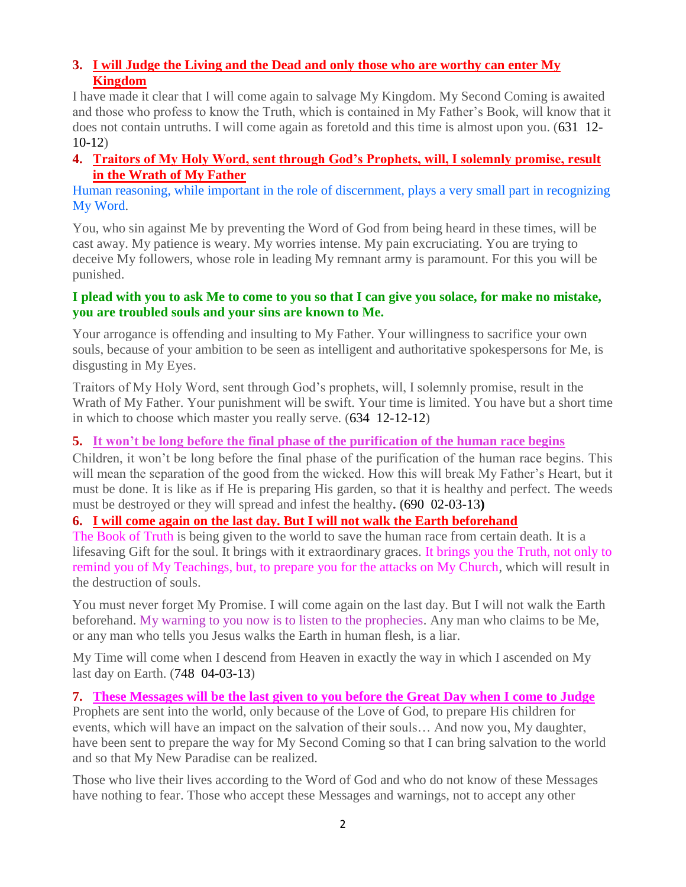# **3. [I will Judge the Living and the Dead and only those who are worthy can enter My](http://www.thewarningsecondcoming.com/i-will-judge-the-living-and-the-dead-and-only-those-who-are-worthy-can-enter-my-kingdom/)  [Kingdom](http://www.thewarningsecondcoming.com/i-will-judge-the-living-and-the-dead-and-only-those-who-are-worthy-can-enter-my-kingdom/)**

I have made it clear that I will come again to salvage My Kingdom. My Second Coming is awaited and those who profess to know the Truth, which is contained in My Father's Book, will know that it does not contain untruths. I will come again as foretold and this time is almost upon you. (631 12- 10-12)

### **4. [Traitors of My Holy Word, sent through God's Prophets, will, I solemnly promise, result](http://www.thewarningsecondcoming.com/traitors-of-my-holy-word-sent-through-gods-prophets-will-i-solemnly-promise-result-in-the-wrath-of-my-father/)  [in the Wrath of My Father](http://www.thewarningsecondcoming.com/traitors-of-my-holy-word-sent-through-gods-prophets-will-i-solemnly-promise-result-in-the-wrath-of-my-father/)**

Human reasoning, while important in the role of discernment, plays a very small part in recognizing My Word.

You, who sin against Me by preventing the Word of God from being heard in these times, will be cast away. My patience is weary. My worries intense. My pain excruciating. You are trying to deceive My followers, whose role in leading My remnant army is paramount. For this you will be punished.

#### **I plead with you to ask Me to come to you so that I can give you solace, for make no mistake, you are troubled souls and your sins are known to Me.**

Your arrogance is offending and insulting to My Father. Your willingness to sacrifice your own souls, because of your ambition to be seen as intelligent and authoritative spokespersons for Me, is disgusting in My Eyes.

Traitors of My Holy Word, sent through God's prophets, will, I solemnly promise, result in the Wrath of My Father. Your punishment will be swift. Your time is limited. You have but a short time in which to choose which master you really serve. (634 12-12-12)

### **5. [It won't be long before the final phase of the purification of the human race begins](http://www.thewarningsecondcoming.com/it-wont-be-long-before-the-final-phase-of-t)**

Children, it won't be long before the final phase of the purification of the human race begins. This will mean the separation of the good from the wicked. How this will break My Father's Heart, but it must be done. It is like as if He is preparing His garden, so that it is healthy and perfect. The weeds must be destroyed or they will spread and infest the healthy**. (**690 02-03-13**)**

### **6. [I will come again on the last day. But I will not walk the Earth beforehand](http://www.thewarningsecondcoming.com/i-will-come-again-on-the-last-day-but-i-will-not-walk-the-earth-beforehand/)**

The Book of Truth is being given to the world to save the human race from certain death. It is a lifesaving Gift for the soul. It brings with it extraordinary graces. It brings you the Truth, not only to remind you of My Teachings, but, to prepare you for the attacks on My Church, which will result in the destruction of souls.

You must never forget My Promise. I will come again on the last day. But I will not walk the Earth beforehand. My warning to you now is to listen to the prophecies. Any man who claims to be Me, or any man who tells you Jesus walks the Earth in human flesh, is a liar.

My Time will come when I descend from Heaven in exactly the way in which I ascended on My last day on Earth. (748 04-03-13)

### **7. [These Messages will be the last given to you before the Great Day when I](http://www.thewarningsecondcoming.com/these-messages-will-be-the-last-given-to-you-before-the-great-day-when-i-come-to-judge/) come to Judge**

Prophets are sent into the world, only because of the Love of God, to prepare His children for events, which will have an impact on the salvation of their souls… And now you, My daughter, have been sent to prepare the way for My Second Coming so that I can bring salvation to the world and so that My New Paradise can be realized.

Those who live their lives according to the Word of God and who do not know of these Messages have nothing to fear. Those who accept these Messages and warnings, not to accept any other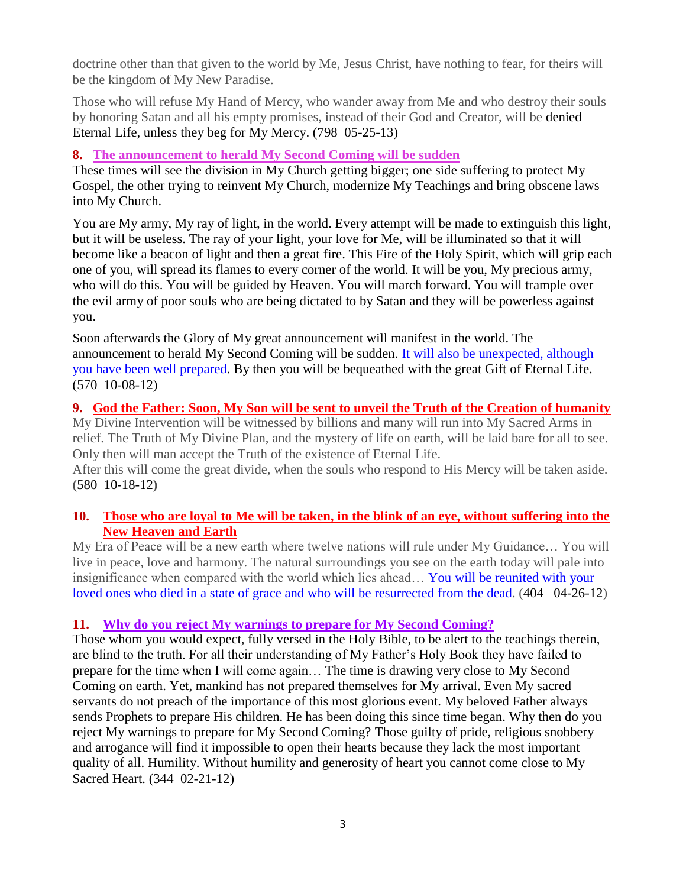doctrine other than that given to the world by Me, Jesus Christ, have nothing to fear, for theirs will be the kingdom of My New Paradise.

Those who will refuse My Hand of Mercy, who wander away from Me and who destroy their souls by honoring Satan and all his empty promises, instead of their God and Creator, will be denied Eternal Life, unless they beg for My Mercy. (798 05-25-13)

#### **8. [The announcement to herald My Second Coming will be sudden](http://www.thewarningsecondcoming.com/the-announcement-to-herald-my-second-coming-will-be-sudden/)**

These times will see the division in My Church getting bigger; one side suffering to protect My Gospel, the other trying to reinvent My Church, modernize My Teachings and bring obscene laws into My Church.

You are My army, My ray of light, in the world. Every attempt will be made to extinguish this light, but it will be useless. The ray of your light, your love for Me, will be illuminated so that it will become like a beacon of light and then a great fire. This Fire of the Holy Spirit, which will grip each one of you, will spread its flames to every corner of the world. It will be you, My precious army, who will do this. You will be guided by Heaven. You will march forward. You will trample over the evil army of poor souls who are being dictated to by Satan and they will be powerless against you.

Soon afterwards the Glory of My great announcement will manifest in the world. The announcement to herald My Second Coming will be sudden. It will also be unexpected, although you have been well prepared. By then you will be bequeathed with the great Gift of Eternal Life. (570 10-08-12)

#### **9. [God the Father: Soon, My Son will be sent to unveil the Truth of the Creation of humanity](http://www.thewarningsecondcoming.com/god-the-father-soon-my-son-will-be-sent-to-unveil-the-truth-of-the-creation-of-humanity/)**

My Divine Intervention will be witnessed by billions and many will run into My Sacred Arms in relief. The Truth of My Divine Plan, and the mystery of life on earth, will be laid bare for all to see. Only then will man accept the Truth of the existence of Eternal Life.

After this will come the great divide, when the souls who respond to His Mercy will be taken aside. **(**580 10-18-12**)**

#### **10. [Those who are loyal to Me will be taken, in the blink of an eye, without suffering into the](http://www.thewarningsecondcoming.com/those-who-are-loyal-to-me-will-be-taken-in-the-blink-of-an-eye-without-suffering-into-the-new-heaven-and-earth/)  [New Heaven and Earth](http://www.thewarningsecondcoming.com/those-who-are-loyal-to-me-will-be-taken-in-the-blink-of-an-eye-without-suffering-into-the-new-heaven-and-earth/)**

My Era of Peace will be a new earth where twelve nations will rule under My Guidance… You will live in peace, love and harmony. The natural surroundings you see on the earth today will pale into insignificance when compared with the world which lies ahead… You will be reunited with your loved ones who died in a state of grace and who will be resurrected from the dead. (404 04-26-12)

#### **11. [Why do you reject My warnings to prepare for My Second Coming?](http://www.thewarningsecondcoming.com/why-do-you-reject-my-warnings-to-prepare-for-my-second-coming/)**

Those whom you would expect, fully versed in the Holy Bible, to be alert to the teachings therein, are blind to the truth. For all their understanding of My Father's Holy Book they have failed to prepare for the time when I will come again… The time is drawing very close to My Second Coming on earth. Yet, mankind has not prepared themselves for My arrival. Even My sacred servants do not preach of the importance of this most glorious event. My beloved Father always sends Prophets to prepare His children. He has been doing this since time began. Why then do you reject My warnings to prepare for My Second Coming? Those guilty of pride, religious snobbery and arrogance will find it impossible to open their hearts because they lack the most important quality of all. Humility. Without humility and generosity of heart you cannot come close to My Sacred Heart. (344 02-21-12)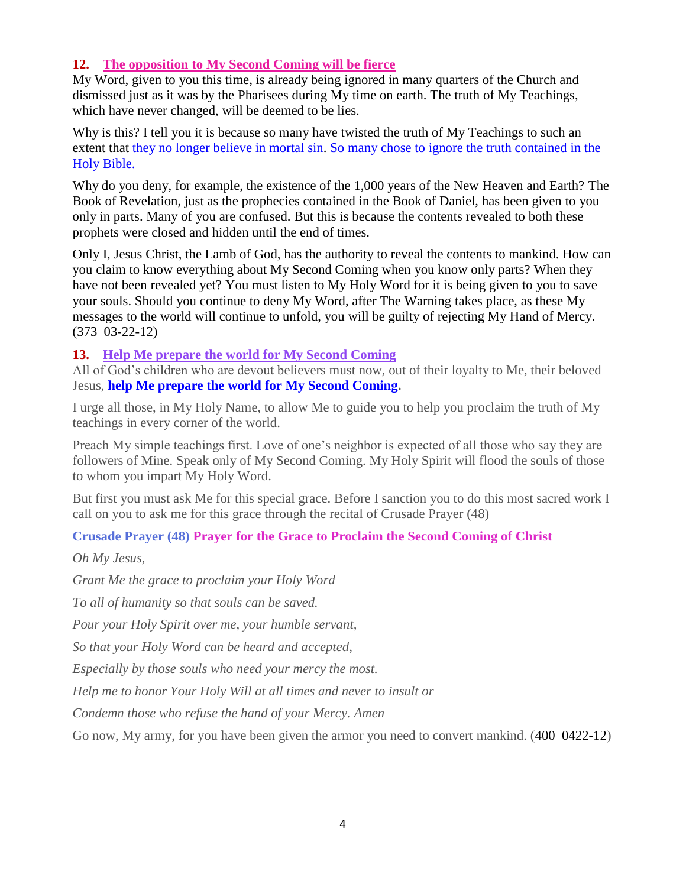### **12. [The opposition to My Second Coming will be fierce](http://www.thewarningsecondcoming.com/the-opposition-to-my-second-coming-will-be-fierce/)**

My Word, given to you this time, is already being ignored in many quarters of the Church and dismissed just as it was by the Pharisees during My time on earth. The truth of My Teachings, which have never changed, will be deemed to be lies.

Why is this? I tell you it is because so many have twisted the truth of My Teachings to such an extent that they no longer believe in mortal sin. So many chose to ignore the truth contained in the Holy Bible.

Why do you deny, for example, the existence of the 1,000 years of the New Heaven and Earth? The Book of Revelation, just as the prophecies contained in the Book of Daniel, has been given to you only in parts. Many of you are confused. But this is because the contents revealed to both these prophets were closed and hidden until the end of times.

Only I, Jesus Christ, the Lamb of God, has the authority to reveal the contents to mankind. How can you claim to know everything about My Second Coming when you know only parts? When they have not been revealed yet? You must listen to My Holy Word for it is being given to you to save your souls. Should you continue to deny My Word, after The Warning takes place, as these My messages to the world will continue to unfold, you will be guilty of rejecting My Hand of Mercy. (373 03-22-12)

#### **13. [Help Me prepare the world for My Second Coming](http://www.thewarningsecondcoming.com/help-me-prepare-the-world-for-my-second-coming/)**

All of God's children who are devout believers must now, out of their loyalty to Me, their beloved Jesus, **help Me prepare the world for My Second Coming.**

I urge all those, in My Holy Name, to allow Me to guide you to help you proclaim the truth of My teachings in every corner of the world.

Preach My simple teachings first. Love of one's neighbor is expected of all those who say they are followers of Mine. Speak only of My Second Coming. My Holy Spirit will flood the souls of those to whom you impart My Holy Word.

But first you must ask Me for this special grace. Before I sanction you to do this most sacred work I call on you to ask me for this grace through the recital of Crusade Prayer (48)

### **Crusade Prayer (48) Prayer for the Grace to Proclaim the Second Coming of Christ**

*Oh My Jesus,*

*Grant Me the grace to proclaim your Holy Word*

*To all of humanity so that souls can be saved.*

*Pour your Holy Spirit over me, your humble servant,*

*So that your Holy Word can be heard and accepted,*

*Especially by those souls who need your mercy the most.*

*Help me to honor Your Holy Will at all times and never to insult or*

*Condemn those who refuse the hand of your Mercy. Amen*

Go now, My army, for you have been given the armor you need to convert mankind. (400 0422-12)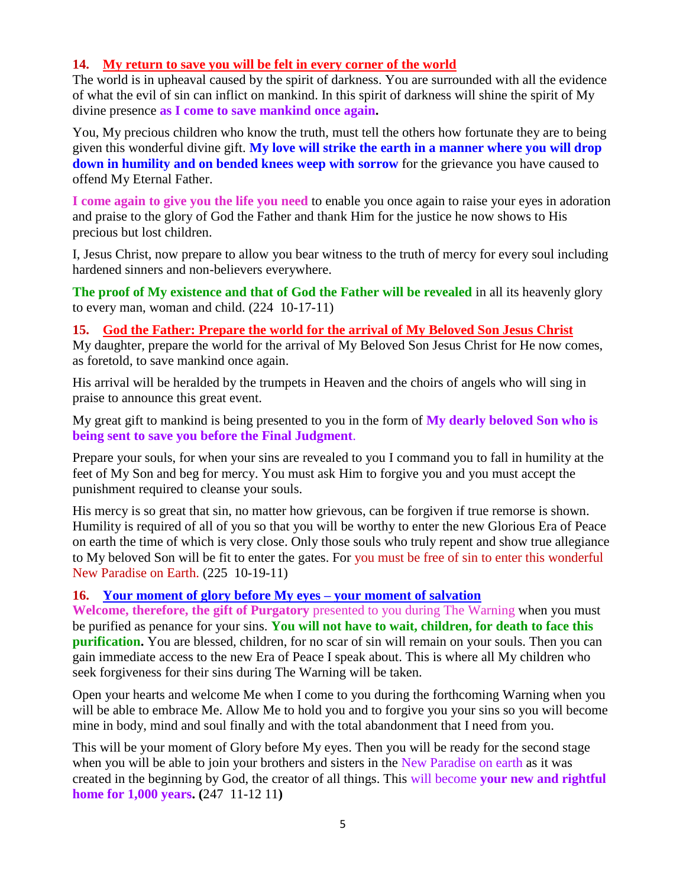#### **14. [My return to save you will be felt in every corner of the world](http://www.thewarningsecondcoming.com/my-return-to-save-you-will-be-felt-in-every-corner-of-the-world/)**

The world is in upheaval caused by the spirit of darkness. You are surrounded with all the evidence of what the evil of sin can inflict on mankind. In this spirit of darkness will shine the spirit of My divine presence **as I come to save mankind once again.**

You, My precious children who know the truth, must tell the others how fortunate they are to being given this wonderful divine gift. **My love will strike the earth in a manner where you will drop down in humility and on bended knees weep with sorrow** for the grievance you have caused to offend My Eternal Father.

**I come again to give you the life you need** to enable you once again to raise your eyes in adoration and praise to the glory of God the Father and thank Him for the justice he now shows to His precious but lost children.

I, Jesus Christ, now prepare to allow you bear witness to the truth of mercy for every soul including hardened sinners and non-believers everywhere.

**The proof of My existence and that of God the Father will be revealed** in all its heavenly glory to every man, woman and child. (224 10-17-11)

**15. God the Father: [Prepare the world for the arrival of My Beloved Son Jesus Christ](http://www.thewarningsecondcoming.com/god-the-father-prepare-the-world-for-the-arrival-of-my-beloved-son-jesus-christ/)** My daughter, prepare the world for the arrival of My Beloved Son Jesus Christ for He now comes, as foretold, to save mankind once again.

His arrival will be heralded by the trumpets in Heaven and the choirs of angels who will sing in praise to announce this great event.

My great gift to mankind is being presented to you in the form of **My dearly beloved Son who is being sent to save you before the Final Judgment**.

Prepare your souls, for when your sins are revealed to you I command you to fall in humility at the feet of My Son and beg for mercy. You must ask Him to forgive you and you must accept the punishment required to cleanse your souls.

His mercy is so great that sin, no matter how grievous, can be forgiven if true remorse is shown. Humility is required of all of you so that you will be worthy to enter the new Glorious Era of Peace on earth the time of which is very close. Only those souls who truly repent and show true allegiance to My beloved Son will be fit to enter the gates. For you must be free of sin to enter this wonderful New Paradise on Earth. (225 10-19-11)

#### **16. [Your moment of glory before My eyes –](http://www.thewarningsecondcoming.com/your-moment-of-glory-before-my-eyes-your-moment-of-salvation/) your moment of salvation**

**Welcome, therefore, the gift of Purgatory** presented to you during The Warning when you must be purified as penance for your sins. **You will not have to wait, children, for death to face this purification.** You are blessed, children, for no scar of sin will remain on your souls. Then you can gain immediate access to the new Era of Peace I speak about. This is where all My children who seek forgiveness for their sins during The Warning will be taken.

Open your hearts and welcome Me when I come to you during the forthcoming Warning when you will be able to embrace Me. Allow Me to hold you and to forgive you your sins so you will become mine in body, mind and soul finally and with the total abandonment that I need from you.

This will be your moment of Glory before My eyes. Then you will be ready for the second stage when you will be able to join your brothers and sisters in the New Paradise on earth as it was created in the beginning by God, the creator of all things. This will become **your new and rightful home for 1,000 years. (**247 11-12 11**)**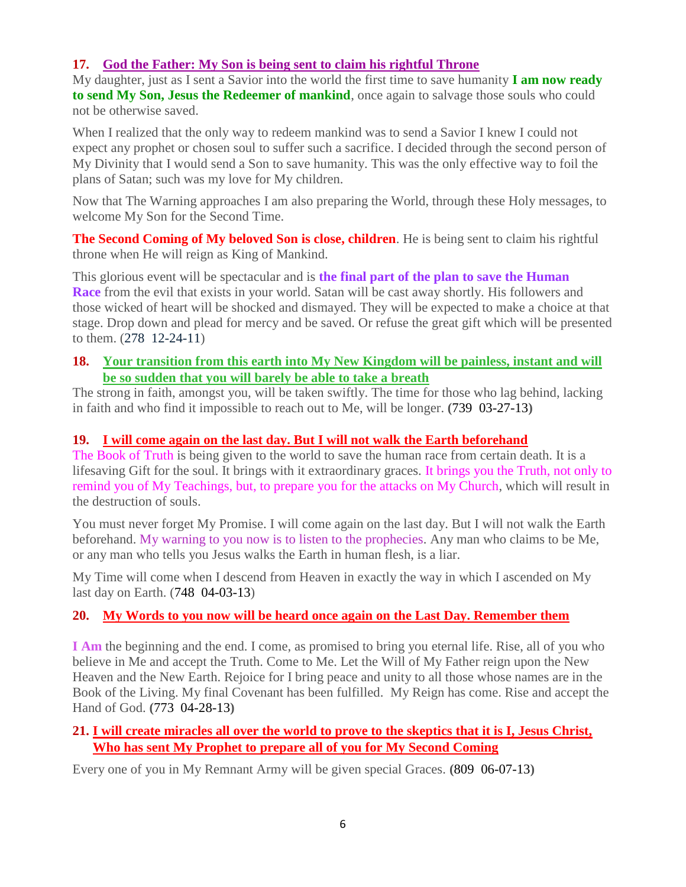# **17. God the [Father: My Son is being sent to claim his rightful Throne](http://www.thewarningsecondcoming.com/god-the-father-my-son-is-being-sent-to-claim-his-rightful-throne-2/)**

My daughter, just as I sent a Savior into the world the first time to save humanity **I am now ready to send My Son, Jesus the Redeemer of mankind**, once again to salvage those souls who could not be otherwise saved.

When I realized that the only way to redeem mankind was to send a Savior I knew I could not expect any prophet or chosen soul to suffer such a sacrifice. I decided through the second person of My Divinity that I would send a Son to save humanity. This was the only effective way to foil the plans of Satan; such was my love for My children.

Now that The Warning approaches I am also preparing the World, through these Holy messages, to welcome My Son for the Second Time.

**The Second Coming of My beloved Son is close, children**. He is being sent to claim his rightful throne when He will reign as King of Mankind.

This glorious event will be spectacular and is **the final part of the plan to save the Human Race** from the evil that exists in your world. Satan will be cast away shortly. His followers and those wicked of heart will be shocked and dismayed. They will be expected to make a choice at that stage. Drop down and plead for mercy and be saved. Or refuse the great gift which will be presented to them. (278 12-24-11)

### **18. [Your transition from this earth into My New Kingdom will be painless, instant and will](http://www.thewarningsecondcoming.com/your-transition-from-this-earth-into-my-new-kingdom-will-be-painless-instant-and-will-be-so-sudden-that-you-will-barely-be-able-to-take-a-breath/)  [be so sudden that you will barely be able to take a breath](http://www.thewarningsecondcoming.com/your-transition-from-this-earth-into-my-new-kingdom-will-be-painless-instant-and-will-be-so-sudden-that-you-will-barely-be-able-to-take-a-breath/)**

The strong in faith, amongst you, will be taken swiftly. The time for those who lag behind, lacking in faith and who find it impossible to reach out to Me, will be longer. **(**739 03-27-13**)**

### **19. I will come again on the last [day. But I will not walk the Earth beforehand](http://www.thewarningsecondcoming.com/i-will-come-again-on-the-last-day-but-i-will-not-walk-the-earth-beforehand/)**

The Book of Truth is being given to the world to save the human race from certain death. It is a lifesaving Gift for the soul. It brings with it extraordinary graces. It brings you the Truth, not only to remind you of My Teachings, but, to prepare you for the attacks on My Church, which will result in the destruction of souls.

You must never forget My Promise. I will come again on the last day. But I will not walk the Earth beforehand. My warning to you now is to listen to the prophecies. Any man who claims to be Me, or any man who tells you Jesus walks the Earth in human flesh, is a liar.

My Time will come when I descend from Heaven in exactly the way in which I ascended on My last day on Earth. (748 04-03-13)

# **20. [My Words to you now will be heard once again on the Last Day. Remember them](http://www.thewarningsecondcoming.com/my-words-to-you-now-will-be-heard-once-again-on-the-last-day-remember-them-2/)**

**I Am** the beginning and the end. I come, as promised to bring you eternal life. Rise, all of you who believe in Me and accept the Truth. Come to Me. Let the Will of My Father reign upon the New Heaven and the New Earth. Rejoice for I bring peace and unity to all those whose names are in the Book of the Living. My final Covenant has been fulfilled. My Reign has come. Rise and accept the Hand of God. **(**773 04-28-13**)**

#### **21. [I will create miracles all over the world to prove to the skeptics that it is I, Jesus Christ,](http://www.thewarningsecondcoming.com/i-will-create-miracles-all-over-the-world-to-prove-to-the-skeptics-that-it-is-i-jesus-christ-who-has-sent-my-prophet-to-prepare-all-of-you-for-my-second-coming/)  [Who has sent My Prophet to prepare all of you for My Second Coming](http://www.thewarningsecondcoming.com/i-will-create-miracles-all-over-the-world-to-prove-to-the-skeptics-that-it-is-i-jesus-christ-who-has-sent-my-prophet-to-prepare-all-of-you-for-my-second-coming/)**

Every one of you in My Remnant Army will be given special Graces. **(**809 06-07-13**)**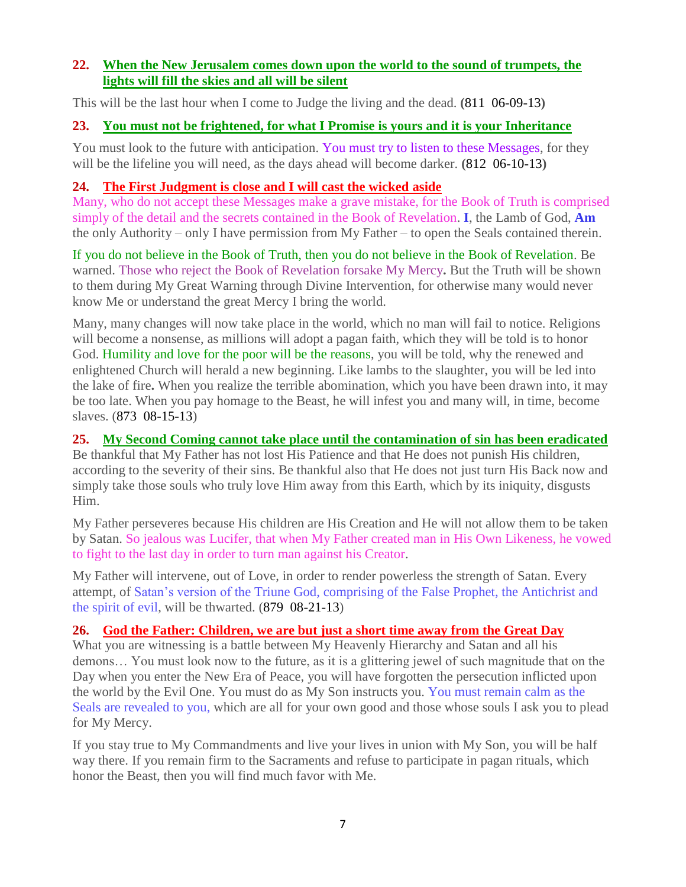### **22. [When the New Jerusalem comes down upon the world to the sound of trumpets, the](http://www.thewarningsecondcoming.com/when-the-new-jerusalem-comes-down-upon-the-world-to-the-sound-of-trumpets-the-lights-will-fill-the-skies-and-all-will-be-silent/)  [lights will fill the skies and all will be silent](http://www.thewarningsecondcoming.com/when-the-new-jerusalem-comes-down-upon-the-world-to-the-sound-of-trumpets-the-lights-will-fill-the-skies-and-all-will-be-silent/)**

This will be the last hour when I come to Judge the living and the dead. **(**811 06-09-13**)**

### **23. You must not be [frightened, for what I Promise is yours and it is your Inheritance](http://www.thewarningsecondcoming.com/you-must-not-be-frightened-for-what-i-promise-is-yours-and-it-is-your-inheritance/)**

You must look to the future with anticipation. You must try to listen to these Messages, for they will be the lifeline you will need, as the days ahead will become darker. **(**812 06-10-13**)**

# **24. [The First Judgment is close and I will cast the wicked](http://www.thewarningsecondcoming.com/the-first-judgement-is-close-and-i-will-cast-the-wicked-aside/) aside**

Many, who do not accept these Messages make a grave mistake, for the Book of Truth is comprised simply of the detail and the secrets contained in the Book of Revelation. **I**, the Lamb of God, **Am** the only Authority – only I have permission from My Father – to open the Seals contained therein.

If you do not believe in the Book of Truth, then you do not believe in the Book of Revelation. Be warned. Those who reject the Book of Revelation forsake My Mercy**.** But the Truth will be shown to them during My Great Warning through Divine Intervention, for otherwise many would never know Me or understand the great Mercy I bring the world.

Many, many changes will now take place in the world, which no man will fail to notice. Religions will become a nonsense, as millions will adopt a pagan faith, which they will be told is to honor God. Humility and love for the poor will be the reasons, you will be told, why the renewed and enlightened Church will herald a new beginning. Like lambs to the slaughter, you will be led into the lake of fire**.** When you realize the terrible abomination, which you have been drawn into, it may be too late. When you pay homage to the Beast, he will infest you and many will, in time, become slaves. (873 08-15-13)

### **25. [My Second Coming cannot take place until the contamination of sin has been eradicated](http://www.thewarningsecondcoming.com/my-second-coming-cannot-take-place-until-the-contamination-of-sin-has-been-eradicated/)**

Be thankful that My Father has not lost His Patience and that He does not punish His children, according to the severity of their sins. Be thankful also that He does not just turn His Back now and simply take those souls who truly love Him away from this Earth, which by its iniquity, disgusts Him.

My Father perseveres because His children are His Creation and He will not allow them to be taken by Satan. So jealous was Lucifer, that when My Father created man in His Own Likeness, he vowed to fight to the last day in order to turn man against his Creator.

My Father will intervene, out of Love, in order to render powerless the strength of Satan. Every attempt, of Satan's version of the Triune God, comprising of the False Prophet, the Antichrist and the spirit of evil, will be thwarted. (879 08-21-13)

### **26. [God the Father: Children, we are but just a short time away from the Great Day](http://www.thewarningsecondcoming.com/god-the-father-children-we-are-but-just-a-short-time-away-from-the-great-day/)**

What you are witnessing is a battle between My Heavenly Hierarchy and Satan and all his demons… You must look now to the future, as it is a glittering jewel of such magnitude that on the Day when you enter the New Era of Peace, you will have forgotten the persecution inflicted upon the world by the Evil One. You must do as My Son instructs you. You must remain calm as the Seals are revealed to you, which are all for your own good and those whose souls I ask you to plead for My Mercy.

If you stay true to My Commandments and live your lives in union with My Son, you will be half way there. If you remain firm to the Sacraments and refuse to participate in pagan rituals, which honor the Beast, then you will find much favor with Me.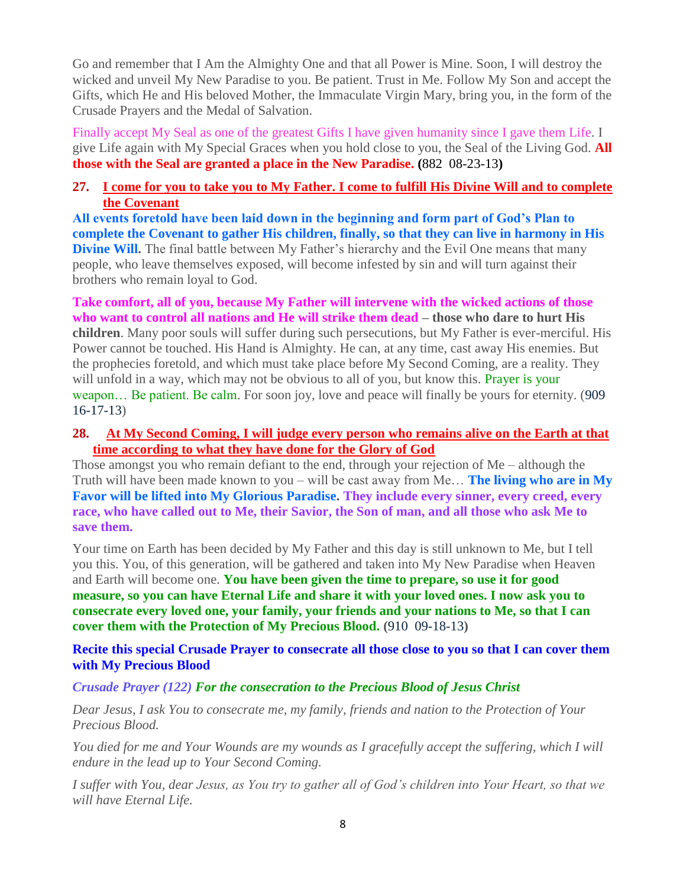Go and remember that I Am the Almighty One and that all Power is Mine. Soon, I will destroy the wicked and unveil My New Paradise to you. Be patient. Trust in Me. Follow My Son and accept the Gifts, which He and His beloved Mother, the Immaculate Virgin Mary, bring you, in the form of the Crusade Prayers and the Medal of Salvation.

Finally accept My Seal as one of the greatest Gifts I have given humanity since I gave them Life. I give Life again with My Special Graces when you hold close to you, the Seal of the Living God. **All those with the Seal are granted a place in the New Paradise. (**882 08-23-13**)**

### **27. [I come for you to take you to My Father. I come to fulfill His Divine Will and to complete](http://www.thewarningsecondcoming.com/i-come-for-you-to-take-you-to-my-father-i-come-to-fulfill-his-divine-will-and-to-complete-the-covenant/)  [the Covenant](http://www.thewarningsecondcoming.com/i-come-for-you-to-take-you-to-my-father-i-come-to-fulfill-his-divine-will-and-to-complete-the-covenant/)**

**All events foretold have been laid down in the beginning and form part of God's Plan to complete the Covenant to gather His children, finally, so that they can live in harmony in His Divine Will.** The final battle between My Father's hierarchy and the Evil One means that many people, who leave themselves exposed, will become infested by sin and will turn against their brothers who remain loyal to God.

**Take comfort, all of you, because My Father will intervene with the wicked actions of those who want to control all nations and He will strike them dead – those who dare to hurt His children**. Many poor souls will suffer during such persecutions, but My Father is ever-merciful. His Power cannot be touched. His Hand is Almighty. He can, at any time, cast away His enemies. But the prophecies foretold, and which must take place before My Second Coming, are a reality. They will unfold in a way, which may not be obvious to all of you, but know this. Prayer is your weapon… Be patient. Be calm. For soon joy, love and peace will finally be yours for eternity. (909 16-17-13)

#### **28. [At My Second Coming, I will judge every person who remains alive on the Earth at that](http://www.thewarningsecondcoming.com/at-my-second-coming-i-will-judge-every-person-who-remains-alive-on-the-earth-at-that-time-according-to-what-they-have-done-for-the-glory-of-god/)  [time according to what they have done for the Glory of God](http://www.thewarningsecondcoming.com/at-my-second-coming-i-will-judge-every-person-who-remains-alive-on-the-earth-at-that-time-according-to-what-they-have-done-for-the-glory-of-god/)**

Those amongst you who remain defiant to the end, through your rejection of Me – although the Truth will have been made known to you – will be cast away from Me… **The living who are in My Favor will be lifted into My Glorious Paradise. They include every sinner, every creed, every race, who have called out to Me, their Savior, the Son of man, and all those who ask Me to save them.**

Your time on Earth has been decided by My Father and this day is still unknown to Me, but I tell you this. You, of this generation, will be gathered and taken into My New Paradise when Heaven and Earth will become one. **You have been given the time to prepare, so use it for good measure, so you can have Eternal Life and share it with your loved ones. I now ask you to consecrate every loved one, your family, your friends and your nations to Me, so that I can cover them with the Protection of My Precious Blood. (**910 09-18-13**)**

#### **Recite this special Crusade [Prayer to consecrate all those close to you so that I can cover them](http://www.thewarningsecondcoming.com/recite-this-special-crusade-prayer-to-consecrate-all-those-close-to-you-so-that-i-can-cover-them-with-my-precious-blood/)  [with My Precious Blood](http://www.thewarningsecondcoming.com/recite-this-special-crusade-prayer-to-consecrate-all-those-close-to-you-so-that-i-can-cover-them-with-my-precious-blood/)**

#### *Crusade Prayer (122) For the consecration to the Precious Blood of Jesus Christ*

*Dear Jesus, I ask You to consecrate me, my family, friends and nation to the Protection of Your Precious Blood.*

You died for me and Your Wounds are my wounds as I gracefully accept the suffering, which I will *endure in the lead up to Your Second Coming.*

*I suffer with You, dear Jesus, as You try to gather all of God's children into Your Heart, so that we will have Eternal Life.*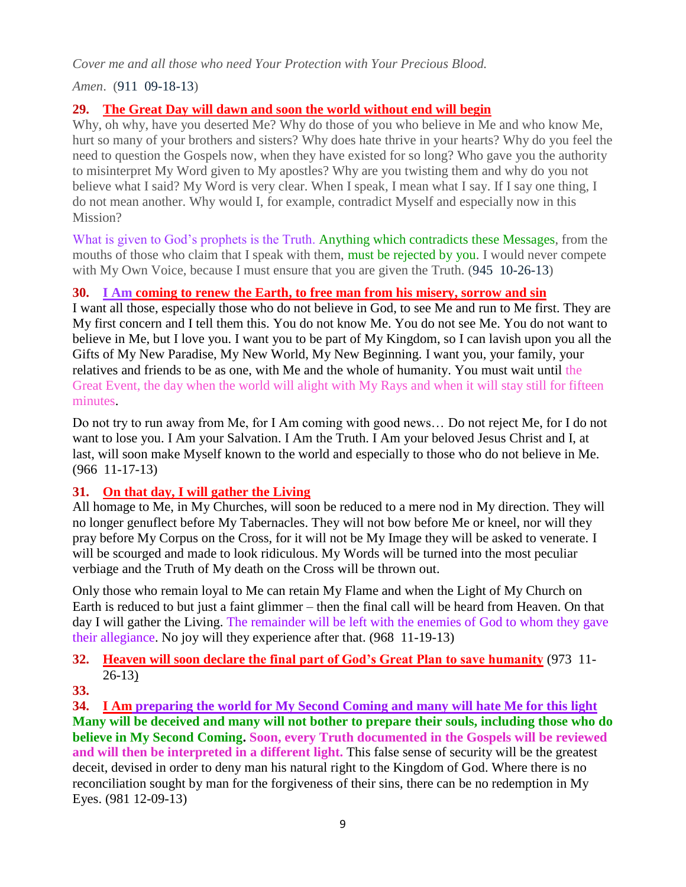*Cover me and all those who need Your Protection with Your Precious Blood.*

*Amen*. (911 09-18-13)

# **29. [The Great Day will dawn and soon the world without end will begin](http://www.thewarningsecondcoming.com/the-great-day-will-dawn-and-soon-the-world-without-end-will-begin/)**

Why, oh why, have you deserted Me? Why do those of you who believe in Me and who know Me, hurt so many of your brothers and sisters? Why does hate thrive in your hearts? Why do you feel the need to question the Gospels now, when they have existed for so long? Who gave you the authority to misinterpret My Word given to My apostles? Why are you twisting them and why do you not believe what I said? My Word is very clear. When I speak, I mean what I say. If I say one thing, I do not mean another. Why would I, for example, contradict Myself and especially now in this Mission?

What is given to God's prophets is the Truth. Anything which contradicts these Messages, from the mouths of those who claim that I speak with them, must be rejected by you. I would never compete with My Own Voice, because I must ensure that you are given the Truth. (945 10-26-13)

### **30. I Am [coming to renew the Earth, to free man from his misery, sorrow and sin](http://www.thewarningsecondcoming.com/i-am-coming-to-renew-the-earth-to-free-man-from-his-misery-sorrow-and-sin/)**

I want all those, especially those who do not believe in God, to see Me and run to Me first. They are My first concern and I tell them this. You do not know Me. You do not see Me. You do not want to believe in Me, but I love you. I want you to be part of My Kingdom, so I can lavish upon you all the Gifts of My New Paradise, My New World, My New Beginning. I want you, your family, your relatives and friends to be as one, with Me and the whole of humanity. You must wait until the Great Event, the day when the world will alight with My Rays and when it will stay still for fifteen minutes.

Do not try to run away from Me, for I Am coming with good news… Do not reject Me, for I do not want to lose you. I Am your Salvation. I Am the Truth. I Am your beloved Jesus Christ and I, at last, will soon make Myself known to the world and especially to those who do not believe in Me. (966 11-17-13)

### **31. [On that day, I will gather the Living](http://www.thewarningsecondcoming.com/on-that-day-i-will-gather-the-living/)**

All homage to Me, in My Churches, will soon be reduced to a mere nod in My direction. They will no longer genuflect before My Tabernacles. They will not bow before Me or kneel, nor will they pray before My Corpus on the Cross, for it will not be My Image they will be asked to venerate. I will be scourged and made to look ridiculous. My Words will be turned into the most peculiar verbiage and the Truth of My death on the Cross will be thrown out.

Only those who remain loyal to Me can retain My Flame and when the Light of My Church on Earth is reduced to but just a faint glimmer – then the final call will be heard from Heaven. On that day I will gather the Living. The remainder will be left with the enemies of God to whom they gave their allegiance. No joy will they experience after that. (968 11-19-13)

# **32. [Heaven will soon declare the final part of God's Great Plan to save humanity](http://www.thewarningsecondcoming.com/heaven-will-soon-declare-the-final-part-of-gods-great-plan-to-save-humanity/)** (973 11- 26-13)

**33.**

**34. I Am [preparing the world for My Second Coming and many will hate Me for this](http://www.thewarningsecondcoming.com/i-am-preparing-the-world-for-my-second-coming-and-many-will-hate-me-for-this/) light Many will be deceived and many will not bother to prepare their souls, including those who do believe in My Second Coming. Soon, every Truth documented in the Gospels will be reviewed and will then be interpreted in a different light.** This false sense of security will be the greatest deceit, devised in order to deny man his natural right to the Kingdom of God. Where there is no reconciliation sought by man for the forgiveness of their sins, there can be no redemption in My Eyes. (981 12-09-13)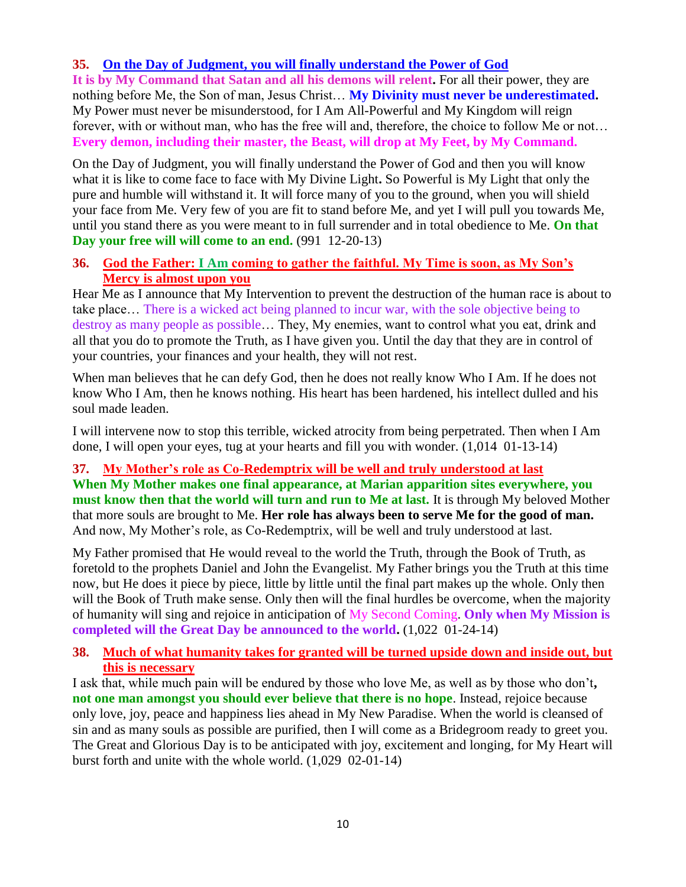# **35. [On the Day of Judgment, you will finally understand the Power of God](http://www.thewarningsecondcoming.com/on-the-day-of-judgement-you-will-finally-understand-the-power-of-god/)**

**It is by My Command that Satan and all his demons will relent.** For all their power, they are nothing before Me, the Son of man, Jesus Christ… **My Divinity must never be underestimated.** My Power must never be misunderstood, for I Am All-Powerful and My Kingdom will reign forever, with or without man, who has the free will and, therefore, the choice to follow Me or not… **Every demon, including their master, the Beast, will drop at My Feet, by My Command.**

On the Day of Judgment, you will finally understand the Power of God and then you will know what it is like to come face to face with My Divine Light**.** So Powerful is My Light that only the pure and humble will withstand it. It will force many of you to the ground, when you will shield your face from Me. Very few of you are fit to stand before Me, and yet I will pull you towards Me, until you stand there as you were meant to in full surrender and in total obedience to Me. **On that Day your free will will come to an end.** (991 12-20-13)

#### **36. God the Father: I Am [coming to gather the faithful. My Time is soon, as My Son's](http://www.thewarningsecondcoming.com/god-the-father-i-am-coming-to-gather-the-faithful-my-time-is-soon-as-my-sons-mercy-is-almost-upon-you-2/)  [Mercy is almost upon you](http://www.thewarningsecondcoming.com/god-the-father-i-am-coming-to-gather-the-faithful-my-time-is-soon-as-my-sons-mercy-is-almost-upon-you-2/)**

Hear Me as I announce that My Intervention to prevent the destruction of the human race is about to take place… There is a wicked act being planned to incur war, with the sole objective being to destroy as many people as possible… They, My enemies, want to control what you eat, drink and all that you do to promote the Truth, as I have given you. Until the day that they are in control of your countries, your finances and your health, they will not rest.

When man believes that he can defy God, then he does not really know Who I Am. If he does not know Who I Am, then he knows nothing. His heart has been hardened, his intellect dulled and his soul made leaden.

I will intervene now to stop this terrible, wicked atrocity from being perpetrated. Then when I Am done, I will open your eyes, tug at your hearts and fill you with wonder. (1,014 01-13-14)

### **37. [My Mother's role as Co-Redemptrix will be well and truly understood at last](http://www.thewarningsecondcoming.com/my-mothers-role-as-co-redemptrix-will-be-well-and-truly-understood-at-last/)**

**When My Mother makes one final appearance, at Marian apparition sites everywhere, you must know then that the world will turn and run to Me at last.** It is through My beloved Mother that more souls are brought to Me. **Her role has always been to serve Me for the good of man.** And now, My Mother's role, as Co-Redemptrix, will be well and truly understood at last.

My Father promised that He would reveal to the world the Truth, through the Book of Truth, as foretold to the prophets Daniel and John the Evangelist. My Father brings you the Truth at this time now, but He does it piece by piece, little by little until the final part makes up the whole. Only then will the Book of Truth make sense. Only then will the final hurdles be overcome, when the majority of humanity will sing and rejoice in anticipation of My Second Coming. **Only when My Mission is completed will the Great Day be announced to the world.** (1,022 01-24-14)

### **38. [Much of what humanity takes for granted will be turned upside down and inside out, but](http://www.thewarningsecondcoming.com/much-of-what-humanity-takes-for-granted-will-be-turned-upside-down-and-inside-out-but-this-is-necessary/)  [this is necessary](http://www.thewarningsecondcoming.com/much-of-what-humanity-takes-for-granted-will-be-turned-upside-down-and-inside-out-but-this-is-necessary/)**

I ask that, while much pain will be endured by those who love Me, as well as by those who don't**, not one man amongst you should ever believe that there is no hope**. Instead, rejoice because only love, joy, peace and happiness lies ahead in My New Paradise. When the world is cleansed of sin and as many souls as possible are purified, then I will come as a Bridegroom ready to greet you. The Great and Glorious Day is to be anticipated with joy, excitement and longing, for My Heart will burst forth and unite with the whole world. (1,029 02-01-14)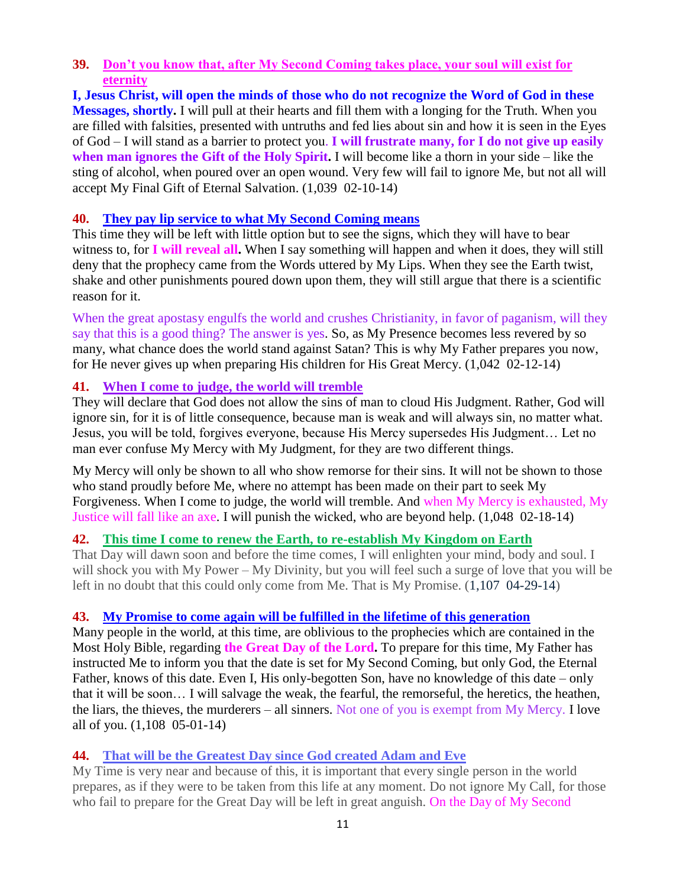#### **39. [Don't you know that, after My Second Coming takes place, your soul will exist for](http://www.thewarningsecondcoming.com/dont-you-know-that-after-my-second-coming-takes-place-your-soul-will-exist-for-eternity/)  [eternity](http://www.thewarningsecondcoming.com/dont-you-know-that-after-my-second-coming-takes-place-your-soul-will-exist-for-eternity/)**

**I, Jesus Christ, will open the minds of those who do not recognize the Word of God in these Messages, shortly.** I will pull at their hearts and fill them with a longing for the Truth. When you are filled with falsities, presented with untruths and fed lies about sin and how it is seen in the Eyes of God – I will stand as a barrier to protect you. **I will frustrate many, for I do not give up easily when man ignores the Gift of the Holy Spirit.** I will become like a thorn in your side – like the sting of alcohol, when poured over an open wound. Very few will fail to ignore Me, but not all will accept My Final Gift of Eternal Salvation. (1,039 02-10-14)

### **40. [They pay lip service to what My Second Coming means](http://www.thewarningsecondcoming.com/they-pay-lip-service-to-what-my-second-coming-means/)**

This time they will be left with little option but to see the signs, which they will have to bear witness to, for **I will reveal all.** When I say something will happen and when it does, they will still deny that the prophecy came from the Words uttered by My Lips. When they see the Earth twist, shake and other punishments poured down upon them, they will still argue that there is a scientific reason for it.

When the great apostasy engulfs the world and crushes Christianity, in favor of paganism, will they say that this is a good thing? The answer is yes. So, as My Presence becomes less revered by so many, what chance does the world stand against Satan? This is why My Father prepares you now, for He never gives up when preparing His children for His Great Mercy. (1,042 02-12-14)

# **41. [When I come to judge, the world will tremble](http://www.thewarningsecondcoming.com/when-i-come-to-judge-the-world-will-tremble/)**

They will declare that God does not allow the sins of man to cloud His Judgment. Rather, God will ignore sin, for it is of little consequence, because man is weak and will always sin, no matter what. Jesus, you will be told, forgives everyone, because His Mercy supersedes His Judgment… Let no man ever confuse My Mercy with My Judgment, for they are two different things.

My Mercy will only be shown to all who show remorse for their sins. It will not be shown to those who stand proudly before Me, where no attempt has been made on their part to seek My Forgiveness. When I come to judge, the world will tremble. And when My Mercy is exhausted, My Justice will fall like an axe. I will punish the wicked, who are beyond help. (1,048 02-18-14)

# **42. [This time I come to renew the Earth, to re-establish My Kingdom on Earth](http://www.thewarningsecondcoming.com/if-there-is-but-just-a-shred-of-pride-in-the-soul-the-holy-spirit-will-never-enter-it/)**

That Day will dawn soon and before the time comes, I will enlighten your mind, body and soul. I will shock you with My Power – My Divinity, but you will feel such a surge of love that you will be left in no doubt that this could only come from Me. That is My Promise.  $(1,107 \text{ } 04\text{-}29\text{-}14)$ 

### **43. My Promise to come again will be [fulfilled in the lifetime of this generation](http://www.thewarningsecondcoming.com/you-are-about-to-witness-the-greatest-deceit-ever-inflicted-upon-the-world-by-satan/)**

Many people in the world, at this time, are oblivious to the prophecies which are contained in the Most Holy Bible, regarding **the Great Day of the Lord.** To prepare for this time, My Father has instructed Me to inform you that the date is set for My Second Coming, but only God, the Eternal Father, knows of this date. Even I, His only-begotten Son, have no knowledge of this date – only that it will be soon… I will salvage the weak, the fearful, the remorseful, the heretics, the heathen, the liars, the thieves, the murderers – all sinners. Not one of you is exempt from My Mercy. I love all of you. (1,108 05-01-14)

# **44. [That will be the Greatest Day since God created Adam and Eve](http://www.thewarningsecondcoming.com/that-will-be-the-greatest-day-since-god-created-adam-and-eve/)**

My Time is very near and because of this, it is important that every single person in the world prepares, as if they were to be taken from this life at any moment. Do not ignore My Call, for those who fail to prepare for the Great Day will be left in great anguish. On the Day of My Second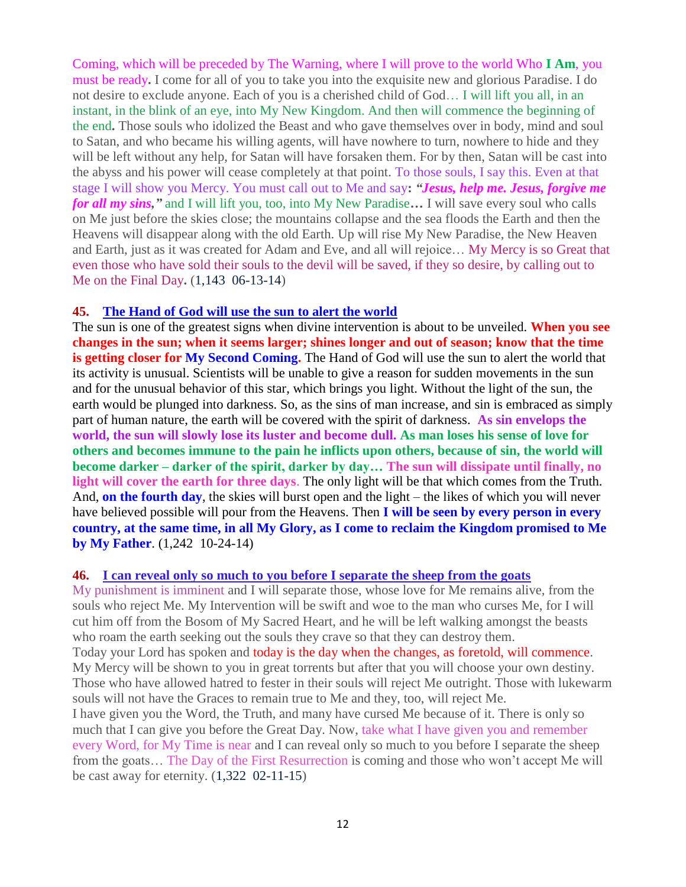Coming, which will be preceded by The Warning, where I will prove to the world Who **I Am**, you must be ready**.** I come for all of you to take you into the exquisite new and glorious Paradise. I do not desire to exclude anyone. Each of you is a cherished child of God… I will lift you all, in an instant, in the blink of an eye, into My New Kingdom. And then will commence the beginning of the end**.** Those souls who idolized the Beast and who gave themselves over in body, mind and soul to Satan, and who became his willing agents, will have nowhere to turn, nowhere to hide and they will be left without any help, for Satan will have forsaken them. For by then, Satan will be cast into the abyss and his power will cease completely at that point. To those souls, I say this. Even at that stage I will show you Mercy. You must call out to Me and say**:** *"Jesus, help me. Jesus, forgive me for all my sins,"* and I will lift you, too, into My New Paradise**…** I will save every soul who calls on Me just before the skies close; the mountains collapse and the sea floods the Earth and then the Heavens will disappear along with the old Earth. Up will rise My New Paradise, the New Heaven and Earth, just as it was created for Adam and Eve, and all will rejoice… My Mercy is so Great that even those who have sold their souls to the devil will be saved, if they so desire, by calling out to Me on the Final Day**.** (1,143 06-13-14)

#### **45. [The Hand of God will use the sun to alert the world](http://www.thewarningsecondcoming.com/the-hand-of-god-will-use-the-sun-to-alert-the-world/)**

The sun is one of the greatest signs when divine intervention is about to be unveiled. **When you see changes in the sun; when it seems larger; shines longer and out of season; know that the time is getting closer for My Second Coming.** The Hand of God will use the sun to alert the world that its activity is unusual. Scientists will be unable to give a reason for sudden movements in the sun and for the unusual behavior of this star, which brings you light. Without the light of the sun, the earth would be plunged into darkness. So, as the sins of man increase, and sin is embraced as simply part of human nature, the earth will be covered with the spirit of darkness. **As sin envelops the world, the sun will slowly lose its luster and become dull. As man loses his sense of love for others and becomes immune to the pain he inflicts upon others, because of sin, the world will become darker – darker of the spirit, darker by day… The sun will dissipate until finally, no light will cover the earth for three days**. The only light will be that which comes from the Truth. And, **on the fourth day**, the skies will burst open and the light – the likes of which you will never have believed possible will pour from the Heavens. Then **I will be seen by every person in every country, at the same time, in all My Glory, as I come to reclaim the Kingdom promised to Me by My Father**. (1,242 10-24-14)

#### **46. [I can reveal only so much to you before I separate the sheep from the goats](http://www.thewarningsecondcoming.com/i-can-reveal-only-so-much-to-you-before-i-separate-the-sheep-from-the-goats/)**

My punishment is imminent and I will separate those, whose love for Me remains alive, from the souls who reject Me. My Intervention will be swift and woe to the man who curses Me, for I will cut him off from the Bosom of My Sacred Heart, and he will be left walking amongst the beasts who roam the earth seeking out the souls they crave so that they can destroy them. Today your Lord has spoken and today is the day when the changes, as foretold, will commence. My Mercy will be shown to you in great torrents but after that you will choose your own destiny. Those who have allowed hatred to fester in their souls will reject Me outright. Those with lukewarm souls will not have the Graces to remain true to Me and they, too, will reject Me. I have given you the Word, the Truth, and many have cursed Me because of it. There is only so much that I can give you before the Great Day. Now, take what I have given you and remember every Word, for My Time is near and I can reveal only so much to you before I separate the sheep from the goats… The Day of the First Resurrection is coming and those who won't accept Me will be cast away for eternity. (1,322 02-11-15)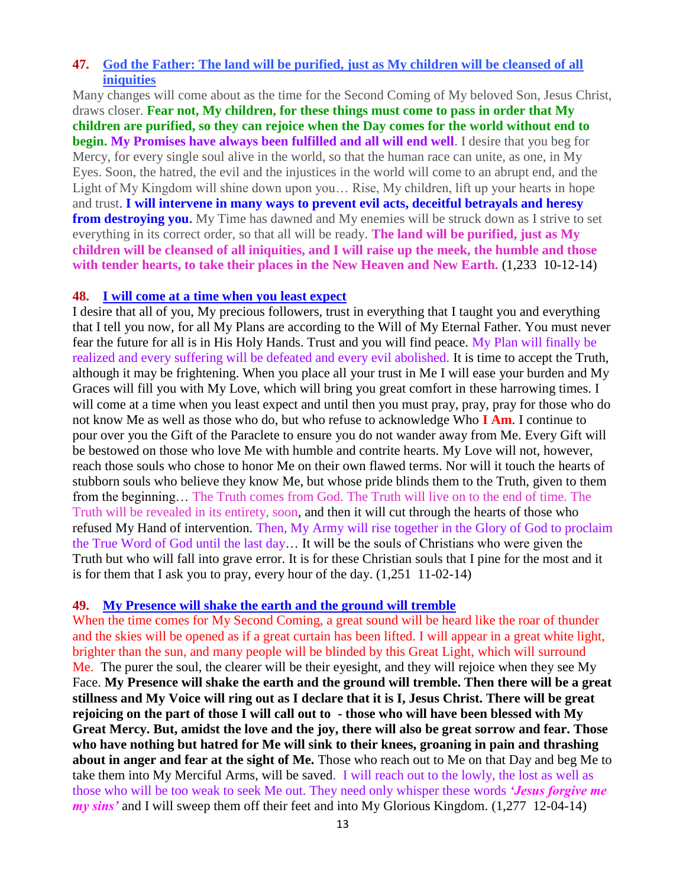#### **47. [God the Father: The land will be purified, just as My children will be cleansed of all](http://www.thewarningsecondcoming.com/god-the-father-the-land-will-be-purified-just-as-my-children-will-be-cleansed-of-all-iniquities/)  [iniquities](http://www.thewarningsecondcoming.com/god-the-father-the-land-will-be-purified-just-as-my-children-will-be-cleansed-of-all-iniquities/)**

Many changes will come about as the time for the Second Coming of My beloved Son, Jesus Christ, draws closer. **Fear not, My children, for these things must come to pass in order that My children are purified, so they can rejoice when the Day comes for the world without end to begin. My Promises have always been fulfilled and all will end well**. I desire that you beg for Mercy, for every single soul alive in the world, so that the human race can unite, as one, in My Eyes. Soon, the hatred, the evil and the injustices in the world will come to an abrupt end, and the Light of My Kingdom will shine down upon you… Rise, My children, lift up your hearts in hope and trust. **I will intervene in many ways to prevent evil acts, deceitful betrayals and heresy from destroying you.** My Time has dawned and My enemies will be struck down as I strive to set everything in its correct order, so that all will be ready. **The land will be purified, just as My children will be cleansed of all iniquities, and I will raise up the meek, the humble and those**  with tender hearts, to take their places in the New Heaven and New Earth. **(1,233 10-12-14)** 

#### **48. [I will come at a time when you least expect](http://www.thewarningsecondcoming.com/i-will-come-at-a-time-when-you-least-expect/)**

I desire that all of you, My precious followers, trust in everything that I taught you and everything that I tell you now, for all My Plans are according to the Will of My Eternal Father. You must never fear the future for all is in His Holy Hands. Trust and you will find peace. My Plan will finally be realized and every suffering will be defeated and every evil abolished. It is time to accept the Truth, although it may be frightening. When you place all your trust in Me I will ease your burden and My Graces will fill you with My Love, which will bring you great comfort in these harrowing times. I will come at a time when you least expect and until then you must pray, pray, pray for those who do not know Me as well as those who do, but who refuse to acknowledge Who **I Am**. I continue to pour over you the Gift of the Paraclete to ensure you do not wander away from Me. Every Gift will be bestowed on those who love Me with humble and contrite hearts. My Love will not, however, reach those souls who chose to honor Me on their own flawed terms. Nor will it touch the hearts of stubborn souls who believe they know Me, but whose pride blinds them to the Truth, given to them from the beginning… The Truth comes from God. The Truth will live on to the end of time. The Truth will be revealed in its entirety, soon, and then it will cut through the hearts of those who refused My Hand of intervention. Then, My Army will rise together in the Glory of God to proclaim the True Word of God until the last day… It will be the souls of Christians who were given the Truth but who will fall into grave error. It is for these Christian souls that I pine for the most and it is for them that I ask you to pray, every hour of the day. (1,251 11-02-14)

#### **49. [My Presence will shake the earth and the ground will tremble](http://www.thewarningsecondcoming.com/my-presence-will-shake-the-earth-and-the-ground-will-tremble/)**

When the time comes for My Second Coming, a great sound will be heard like the roar of thunder and the skies will be opened as if a great curtain has been lifted. I will appear in a great white light, brighter than the sun, and many people will be blinded by this Great Light, which will surround Me. The purer the soul, the clearer will be their eyesight, and they will rejoice when they see My Face. **My Presence will shake the earth and the ground will tremble. Then there will be a great stillness and My Voice will ring out as I declare that it is I, Jesus Christ. There will be great rejoicing on the part of those I will call out to - those who will have been blessed with My Great Mercy. But, amidst the love and the joy, there will also be great sorrow and fear. Those who have nothing but hatred for Me will sink to their knees, groaning in pain and thrashing about in anger and fear at the sight of Me.** Those who reach out to Me on that Day and beg Me to take them into My Merciful Arms, will be saved. I will reach out to the lowly, the lost as well as those who will be too weak to seek Me out. They need only whisper these words *'Jesus forgive me my sins'* and I will sweep them off their feet and into My Glorious Kingdom. (1,277 12-04-14)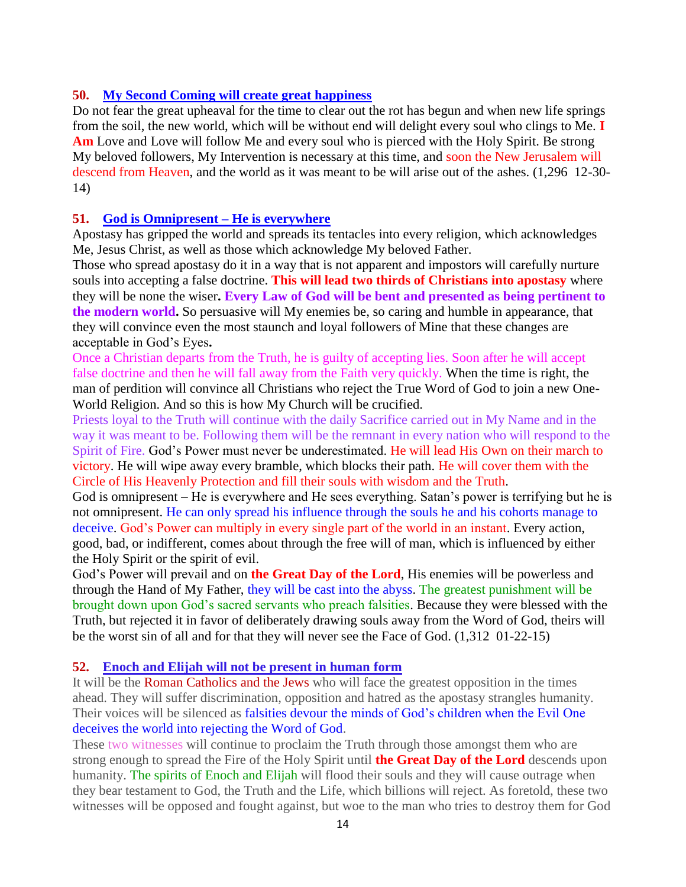### **50. [My Second Coming will create great happiness](http://www.thewarningsecondcoming.com/my-second-coming-will-create-great-happiness/)**

Do not fear the great upheaval for the time to clear out the rot has begun and when new life springs from the soil, the new world, which will be without end will delight every soul who clings to Me. **I Am** Love and Love will follow Me and every soul who is pierced with the Holy Spirit. Be strong My beloved followers, My Intervention is necessary at this time, and soon the New Jerusalem will descend from Heaven, and the world as it was meant to be will arise out of the ashes. (1,296 12-30-14)

### **51. [God is Omnipresent –](http://www.thewarningsecondcoming.com/god-is-omnipresent-he-is-everywhere/) He is everywhere**

Apostasy has gripped the world and spreads its tentacles into every religion, which acknowledges Me, Jesus Christ, as well as those which acknowledge My beloved Father.

Those who spread apostasy do it in a way that is not apparent and impostors will carefully nurture souls into accepting a false [doctrine.](http://www.thewarningsecondcoming.com/god-is-omnipresent-he-is-everywhere/) **This will lead two thirds of Christians into apostasy** where they will be none the wiser**. Every Law of God will be bent and presented as being pertinent to the modern world.** So persuasive will My enemies be, so caring and humble in appearance, that they will convince even the most staunch and loyal followers of Mine that these changes are acceptable in God's Eyes**.**

Once a Christian departs from the Truth, he is guilty of accepting lies. Soon after he will accept false doctrine and then he will fall away from the Faith very quickly. When the time is right, the man of perdition will convince all Christians who reject the True Word of God to join a new One-World Religion. And so this is how My Church will be crucified.

Priests loyal to the Truth will continue with the daily Sacrifice carried out in My Name and in the way it was meant to be. Following them will be the remnant in every nation who will respond to the Spirit of Fire. God's Power must never be underestimated. He will lead His Own on their march to victory. He will wipe away every bramble, which blocks their path. He will cover them with the Circle of His Heavenly Protection and fill their souls with wisdom and the Truth.

God is omnipresent – He is everywhere and He sees everything. Satan's power is terrifying but he is not omnipresent. He can only spread his influence through the souls he and his cohorts manage to deceive. God's Power can multiply in every single part of the world in an instant. Every action, good, bad, or indifferent, comes about through the free will of man, which is influenced by either the Holy Spirit or the spirit of evil.

God's Power will prevail and on **the Great Day of the Lord**, His enemies will be powerless and through the Hand of My Father, they will be cast into the [abyss.](http://www.thewarningsecondcoming.com/god-is-omnipresent-he-is-everywhere/) The greatest punishment will be brought down upon God's sacred servants who preach falsities. Because they were blessed with the Truth, but rejected it in favor of deliberately drawing souls away from the Word of God, theirs will be the worst sin of all and for that they will never see the Face of God. (1,312 01-22-15)

#### **52. [Enoch and Elijah will not be present in human form](http://www.thewarningsecondcoming.com/enoch-and-elijah-will-not-be-present-in-human-form/)**

It will be the Roman Catholics and the Jews who will face the greatest opposition in the times ahead. They will suffer discrimination, opposition and hatred as the apostasy strangles humanity. Their voices will be silenced as falsities devour the minds of God's children when the Evil One deceives the world into rejecting the Word of God.

These two witnesses will continue to proclaim the Truth through those amongst them who are strong enough to spread the Fire of the Holy Spirit until **the Great Day of the Lord** descends upon humanity. The spirits of Enoch and Elijah will flood their souls and they will cause outrage when they bear testament to God, the Truth and the Life, which billions will reject. As foretold, these two witnesses will be opposed and fought against, but woe to the man who tries to destroy them for God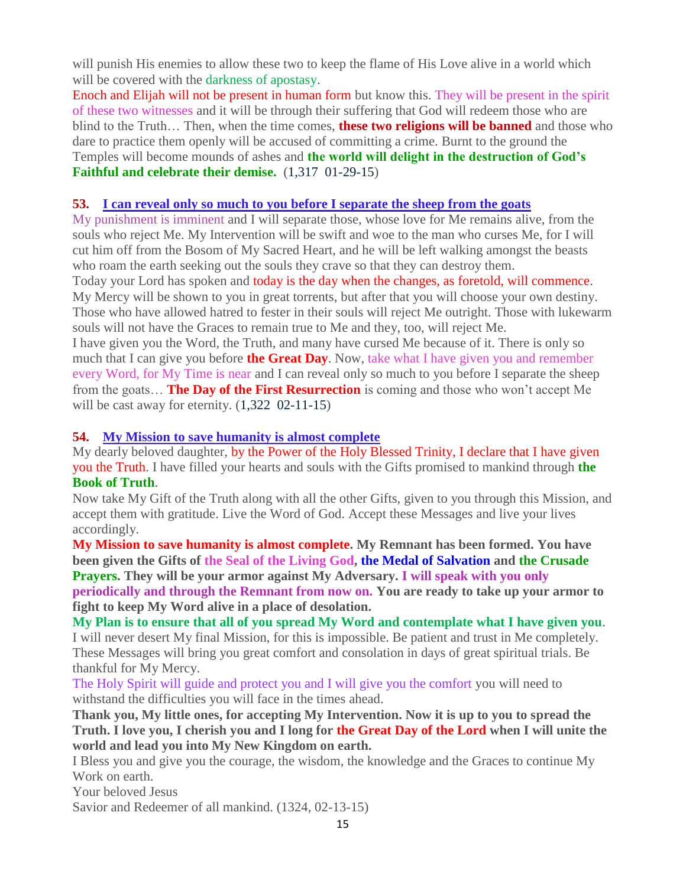will punish His enemies to allow these two to keep the flame of His Love alive in a world which will be covered with the darkness of apostasy.

Enoch and Elijah will not be present in human form but know this. They will be present in the spirit of these two witnesses and it will be through their suffering that God will redeem those who are blind to the Truth… Then, when the time comes, **these two religions will be banned** and those who dare to practice them openly will be accused of committing a crime. Burnt to the ground the Temples will become mounds of ashes and **the world will delight in the destruction of God's Faithful and celebrate their demise.** (1,317 01-29-15)

### **53. [I can reveal only so much to you before I separate the sheep from the goats](http://www.thewarningsecondcoming.com/i-can-reveal-only-so-much-to-you-before-i-separate-the-sheep-from-the-goats/)**

My punishment is imminent and I will separate those, whose love for Me remains alive, from the souls who reject Me. My Intervention will be swift and woe to the man who curses Me, for I will cut him off from the Bosom of My Sacred Heart, and he will be left walking amongst the beasts who roam the earth seeking out the souls they crave so that they can destroy them.

Today your Lord has spoken and today is the day when the changes, as foretold, will commence. My Mercy will be shown to you in great torrents, but after that you will choose your own destiny. Those who have allowed hatred to fester in their souls will reject Me outright. Those with lukewarm souls will not have the Graces to remain true to Me and they, too, will reject Me.

I have given you the Word, the Truth, and many have cursed Me because of it. There is only so much that I can give you before **the Great Day**. Now, take what I have given you and remember every Word, for My Time is near and I can reveal only so much to you before I separate the sheep from the goats… **The Day of the First Resurrection** is coming and those who won't accept Me will be cast away for eternity.  $(1,322 \ 02-11-15)$ 

### **54. [My Mission to save humanity is almost complete](http://www.thewarningsecondcoming.com/my-mission-to-save-humanity-is-almost-complete/)**

My dearly beloved daughter, by the Power of the Holy Blessed Trinity, I declare that I have given you the Truth. I have filled your hearts and souls with the Gifts promised to mankind through **the Book of Truth**.

Now take My Gift of the Truth along with all the other Gifts, given to you through this Mission, and accept them with gratitude. Live the Word of God. Accept these Messages and live your lives accordingly.

**My Mission to save humanity is almost complete. My Remnant has been formed. You have been given the Gifts of the Seal of the Living God, the Medal of Salvation and the Crusade Prayers. They will be your armor against My Adversary. I will speak with you only periodically and through the Remnant from now on. You are ready to take up your armor to fight to keep My Word alive in a place of desolation.**

**My Plan is to ensure that all of you spread My Word and contemplate what I have given you**. I will never desert My final Mission, for this is impossible. Be patient and trust in Me completely. These Messages will bring you great comfort and consolation in days of great spiritual trials. Be thankful for My Mercy.

The Holy Spirit will guide and protect you and I will give you the comfort you will need to withstand the difficulties you will face in the times ahead.

**Thank you, My little ones, for accepting My Intervention. Now it is up to you to spread the Truth. I love you, I cherish you and I long for the Great Day of the Lord when I will unite the world and lead you into My New Kingdom on earth.**

I Bless you and give you the courage, the wisdom, the knowledge and the Graces to continue My Work on earth.

Your beloved Jesus

Savior and Redeemer of all mankind. (1324, 02-13-15)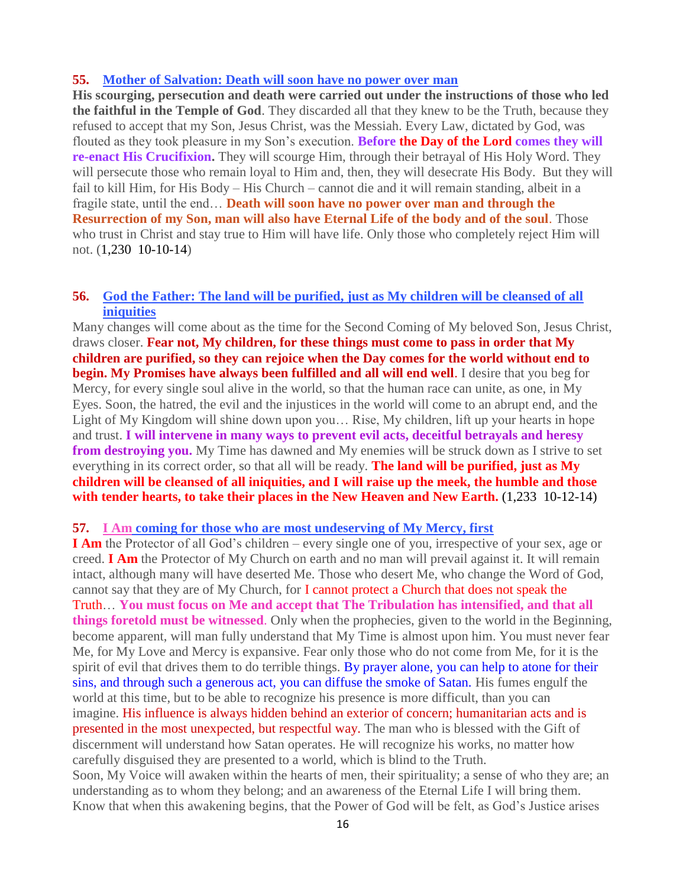#### **55. [Mother of Salvation: Death will soon have no power over man](http://www.thewarningsecondcoming.com/mother-of-salvation-death-will-soon-have-no-power-over-man/)**

**His scourging, persecution and death were carried out under the instructions of those who led the faithful in the Temple of God**. They discarded all that they knew to be the Truth, because they refused to accept that my Son, Jesus Christ, was the Messiah. Every Law, dictated by God, was flouted as they took pleasure in my Son's execution. **Before the Day of the Lord comes they will re-enact His Crucifixion.** They will scourge Him, through their betrayal of His Holy Word. They will persecute those who remain loyal to Him and, then, they will desecrate His Body. But they will fail to kill Him, for His Body – His Church – cannot die and it will remain standing, albeit in a fragile state, until the end… **Death will soon have no power over man and through the Resurrection of my Son, man will also have Eternal Life of the body and of the soul**. Those who trust in Christ and stay true to Him will have life. Only those who completely reject Him will not. (1,230 10-10-14)

#### **56. [God the Father: The land will be purified, just as My children will be cleansed of all](http://www.thewarningsecondcoming.com/god-the-father-the-land-will-be-purified-just-as-my-children-will-be-cleansed-of-all-iniquities/)  [iniquities](http://www.thewarningsecondcoming.com/god-the-father-the-land-will-be-purified-just-as-my-children-will-be-cleansed-of-all-iniquities/)**

Many changes will come about as the time for the Second Coming of My beloved Son, Jesus Christ, draws closer. **Fear not, My children, for these things must come to pass in order that My children are purified, so they can rejoice when the Day comes for the world without end to begin. My Promises have always been fulfilled and all will end well**. I desire that you beg for Mercy, for every single soul alive in the world, so that the human race can unite, as one, in My Eyes. Soon, the hatred, the evil and the injustices in the world will come to an abrupt end, and the Light of My Kingdom will shine down upon you… Rise, My children, lift up your hearts in hope and trust. **I will intervene in many ways to prevent evil acts, deceitful betrayals and heresy from destroying you.** My Time has dawned and My enemies will be struck down as I strive to set everything in its correct order, so that all will be ready. **The land will be purified, just as My children will be cleansed of all iniquities, and I will raise up the meek, the humble and those**  with tender hearts, to take their places in the New Heaven and New Earth.  $(1,233 \ 10-12-14)$ 

#### **57. I Am [coming for those who are most undeserving of My Mercy, first](http://www.thewarningsecondcoming.com/i-am-coming-for-those-who-are-most-undeserving-of-my-mercy-first/)**

**I Am** the Protector of all God's children – every single one of you, irrespective of your sex, age or creed. **I Am** the Protector of My Church on earth and no man will prevail against it. It will remain intact, although many will have deserted Me. Those who desert Me, who change the Word of God, cannot say that they are of My Church, for I cannot protect a Church that does not speak the Truth… **You must focus on Me and accept that The Tribulation has intensified, and that all things foretold must be witnessed**. Only when the prophecies, given to the world in the Beginning, become apparent, will man fully understand that My Time is almost upon him. You must never fear Me, for My Love and Mercy is expansive. Fear only those who do not come from Me, for it is the spirit of evil that drives them to do terrible things. By prayer alone, you can help to atone for their sins, and through such a generous act, you can diffuse the smoke of Satan. His fumes engulf the world at this time, but to be able to recognize his presence is more difficult, than you can imagine. His influence is always hidden behind an exterior of concern; humanitarian acts and is presented in the most unexpected, but respectful way. The man who is blessed with the Gift of discernment will understand how Satan operates. He will recognize his works, no matter how carefully disguised they are presented to a world, which is blind to the Truth. Soon, My Voice will awaken within the hearts of men, their spirituality; a sense of who they are; an understanding as to whom they belong; and an awareness of the Eternal Life I will bring them. Know that when this awakening begins, that the Power of God will be felt, as God's Justice arises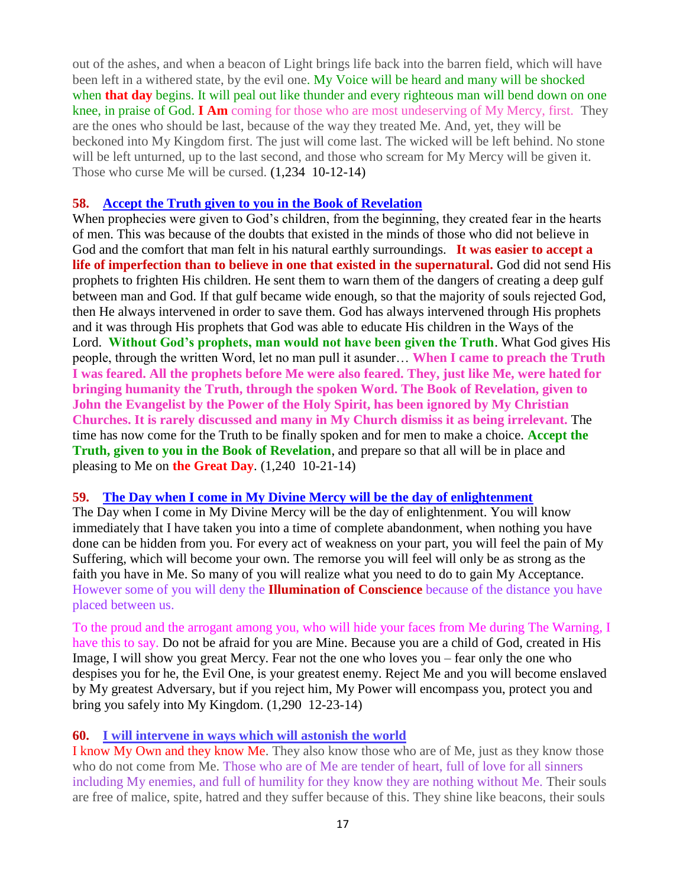out of the ashes, and when a beacon of Light brings life back into the barren field, which will have been left in a withered state, by the evil one. My Voice will be heard and many will be shocked when **that day** begins. It will peal out like thunder and every righteous man will bend down on one knee, in praise of God. **I Am** coming for those who are most undeserving of My Mercy, first. They are the ones who should be last, because of the way they treated Me. And, yet, they will be beckoned into My Kingdom first. The just will come last. The wicked will be left behind. No stone will be left unturned, up to the last second, and those who scream for My Mercy will be given it. Those who curse Me will be cursed. (1,234 10-12-14)

#### **58. [Accept the Truth given to you in the Book of Revelation](http://www.thewarningsecondcoming.com/accept-the-truth-given-to-you-in-the-book-of-revelation/)**

When prophecies were given to God's children, from the beginning, they created fear in the hearts of men. This was because of the doubts that existed in the minds of those who did not believe in God and the comfort that man felt in his natural earthly surroundings. **It was easier to accept a life of imperfection than to believe in one that existed in the supernatural.** God did not send His prophets to frighten His children. He sent them to warn them of the dangers of creating a deep gulf between man and God. If that gulf became wide enough, so that the majority of souls rejected God, then He always intervened in order to save them. God has always intervened through His prophets and it was through His prophets that God was able to educate His children in the Ways of the Lord. **Without God's prophets, man would not have been given the Truth**. What God gives His people, through the written Word, let no man pull it asunder… **When I came to preach the Truth I was feared. All the prophets before Me were also feared. They, just like Me, were hated for bringing humanity the Truth, through the spoken Word. The Book of Revelation, given to John the Evangelist by the Power of the Holy Spirit, has been ignored by My Christian Churches. It is rarely discussed and many in My Church dismiss it as being irrelevant.** The time has now come for the Truth to be finally spoken and for men to make a choice. **Accept the Truth, given to you in the Book of Revelation**, and prepare so that all will be in place and pleasing to Me on **the Great Day**. (1,240 10-21-14)

### **59. The Day when I come [in My Divine Mercy will be the day of enlightenment](http://www.thewarningsecondcoming.com/the-day-when-i-come-in-my-divine-mercy-will-be-the-day-of-enlightenment/)**

The Day when I come in My Divine Mercy will be the day of enlightenment. You will know immediately that I have taken you into a time of complete abandonment, when nothing you have done can be hidden from you. For every act of weakness on your part, you will feel the pain of My Suffering, which will become your own. The remorse you will feel will only be as strong as the faith you have in Me. So many of you will realize what you need to do to gain My Acceptance. However some of you will deny the **Illumination of Conscience** because of the distance you have placed between us.

To the proud and the arrogant among you, who will hide your faces from Me during The Warning, I have this to say. Do not be afraid for you are Mine. Because you are a child of God, created in His Image, I will show you great Mercy. Fear not the one who loves you – fear only the one who despises you for he, the Evil One, is your greatest enemy. Reject Me and you will become enslaved by My greatest Adversary, but if you reject him, My Power will encompass you, protect you and bring you safely into My Kingdom. (1,290 12-23-14)

### **60. [I will intervene in ways which will astonish the world](http://www.thewarningsecondcoming.com/i-will-intervene-in-ways-which-will-astonish-the-world/)**

I know My Own and they know Me. They also know those who are of Me, just as they know those who do not come from Me. Those who are of Me are tender of heart, full of love for all sinners including My enemies, and full of humility for they know they are nothing without Me. Their souls are free of malice, spite, hatred and they suffer because of this. They shine like beacons, their souls